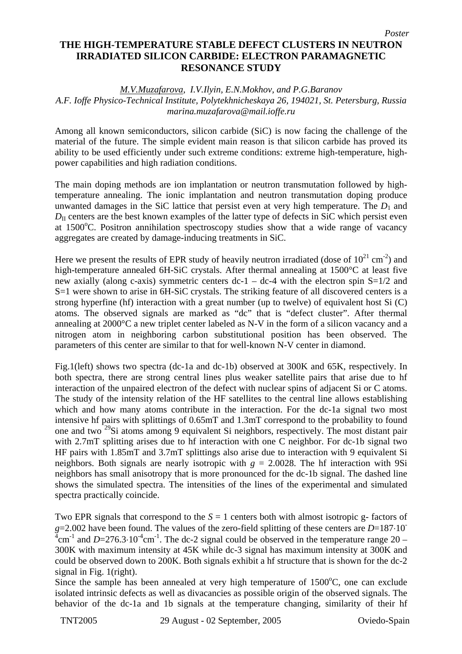## **THE HIGH-TEMPERATURE STABLE DEFECT CLUSTERS IN NEUTRON IRRADIATED SILICON CARBIDE: ELECTRON PARAMAGNETIC RESONANCE STUDY**

## *M.V.Muzafarova, I.V.Ilyin, E.N.Mokhov, and P.G.Baranov*

## *A.F. Ioffe Physico-Technical Institute, Polytekhnicheskaya 26, 194021, St. Petersburg, Russia marina.muzafarova@mail.ioffe.ru*

Among all known semiconductors, silicon carbide (SiC) is now facing the challenge of the material of the future. The simple evident main reason is that silicon carbide has proved its ability to be used efficiently under such extreme conditions: extreme high-temperature, highpower capabilities and high radiation conditions.

The main doping methods are ion implantation or neutron transmutation followed by hightemperature annealing. The ionic implantation and neutron transmutation doping produce unwanted damages in the SiC lattice that persist even at very high temperature. The  $D_1$  and  $D_{\text{II}}$  centers are the best known examples of the latter type of defects in SiC which persist even at 1500°C. Positron annihilation spectroscopy studies show that a wide range of vacancy aggregates are created by damage-inducing treatments in SiC.

Here we present the results of EPR study of heavily neutron irradiated (dose of  $10^{21}$  cm<sup>-2</sup>) and high-temperature annealed 6H-SiC crystals. After thermal annealing at 1500°C at least five new axially (along c-axis) symmetric centers  $dc-1 - dc-4$  with the electron spin  $S=1/2$  and S=1 were shown to arise in 6H-SiC crystals. The striking feature of all discovered centers is a strong hyperfine (hf) interaction with a great number (up to twelve) of equivalent host Si  $(C)$ atoms. The observed signals are marked as "dc" that is "defect cluster". After thermal annealing at 2000°C a new triplet center labeled as N-V in the form of a silicon vacancy and a nitrogen atom in neighboring carbon substitutional position has been observed. The parameters of this center are similar to that for well-known N-V center in diamond.

Fig.1(left) shows two spectra (dc-1a and dc-1b) observed at 300K and 65K, respectively. In both spectra, there are strong central lines plus weaker satellite pairs that arise due to hf interaction of the unpaired electron of the defect with nuclear spins of adjacent Si or C atoms. The study of the intensity relation of the HF satellites to the central line allows establishing which and how many atoms contribute in the interaction. For the dc-1a signal two most intensive hf pairs with splittings of 0.65mT and 1.3mT correspond to the probability to found one and two 29Si atoms among 9 equivalent Si neighbors, respectively. The most distant pair with 2.7mT splitting arises due to hf interaction with one C neighbor. For dc-1b signal two HF pairs with 1.85mT and 3.7mT splittings also arise due to interaction with 9 equivalent Si neighbors. Both signals are nearly isotropic with  $g = 2.0028$ . The hf interaction with 9Si neighbors has small anisotropy that is more pronounced for the dc-1b signal. The dashed line shows the simulated spectra. The intensities of the lines of the experimental and simulated spectra practically coincide.

Two EPR signals that correspond to the  $S = 1$  centers both with almost isotropic g- factors of *g*=2.002 have been found. The values of the zero-field splitting of these centers are *D*=187⋅10<sup>-</sup>  $^{4}$ cm<sup>-1</sup> and *D*=276.3⋅10<sup>-4</sup>cm<sup>-1</sup>. The dc-2 signal could be observed in the temperature range 20 – 300K with maximum intensity at 45K while dc-3 signal has maximum intensity at 300K and could be observed down to 200K. Both signals exhibit a hf structure that is shown for the dc-2 signal in Fig. 1(right).

Since the sample has been annealed at very high temperature of  $1500^{\circ}$ C, one can exclude isolated intrinsic defects as well as divacancies as possible origin of the observed signals. The behavior of the dc-1a and 1b signals at the temperature changing, similarity of their hf